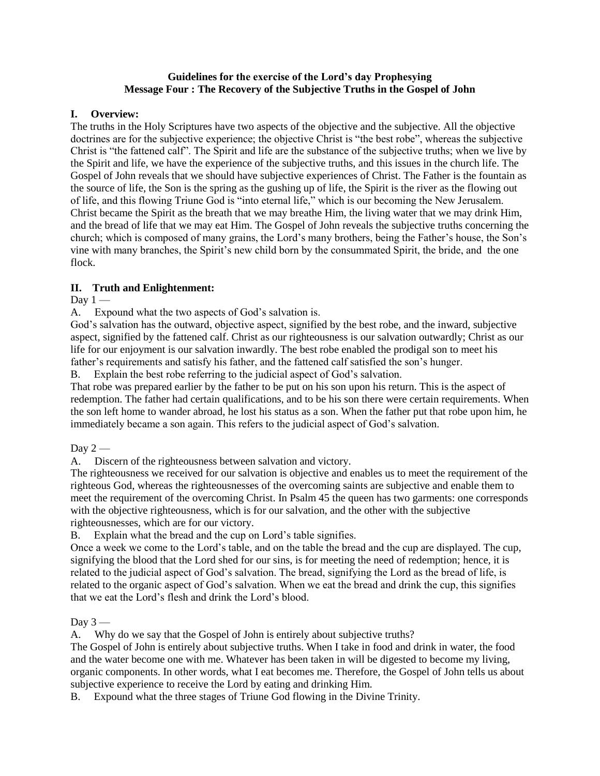## **Guidelines for the exercise of the Lord's day Prophesying Message Four : The Recovery of the Subjective Truths in the Gospel of John**

## **I. Overview:**

The truths in the Holy Scriptures have two aspects of the objective and the subjective. All the objective doctrines are for the subjective experience; the objective Christ is "the best robe", whereas the subjective Christ is "the fattened calf". The Spirit and life are the substance of the subjective truths; when we live by the Spirit and life, we have the experience of the subjective truths, and this issues in the church life. The Gospel of John reveals that we should have subjective experiences of Christ. The Father is the fountain as the source of life, the Son is the spring as the gushing up of life, the Spirit is the river as the flowing out of life, and this flowing Triune God is "into eternal life," which is our becoming the New Jerusalem. Christ became the Spirit as the breath that we may breathe Him, the living water that we may drink Him, and the bread of life that we may eat Him. The Gospel of John reveals the subjective truths concerning the church; which is composed of many grains, the Lord's many brothers, being the Father's house, the Son's vine with many branches, the Spirit's new child born by the consummated Spirit, the bride, and the one flock.

## **II. Truth and Enlightenment:**

Day  $1 -$ 

A. Expound what the two aspects of God's salvation is.

God's salvation has the outward, objective aspect, signified by the best robe, and the inward, subjective aspect, signified by the fattened calf. Christ as our righteousness is our salvation outwardly; Christ as our life for our enjoyment is our salvation inwardly. The best robe enabled the prodigal son to meet his father's requirements and satisfy his father, and the fattened calf satisfied the son's hunger.

B. Explain the best robe referring to the judicial aspect of God's salvation.

That robe was prepared earlier by the father to be put on his son upon his return. This is the aspect of redemption. The father had certain qualifications, and to be his son there were certain requirements. When the son left home to wander abroad, he lost his status as a son. When the father put that robe upon him, he immediately became a son again. This refers to the judicial aspect of God's salvation.

Day  $2-$ 

A. Discern of the righteousness between salvation and victory.

The righteousness we received for our salvation is objective and enables us to meet the requirement of the righteous God, whereas the righteousnesses of the overcoming saints are subjective and enable them to meet the requirement of the overcoming Christ. In Psalm 45 the queen has two garments: one corresponds with the objective righteousness, which is for our salvation, and the other with the subjective righteousnesses, which are for our victory.

B. Explain what the bread and the cup on Lord's table signifies.

Once a week we come to the Lord's table, and on the table the bread and the cup are displayed. The cup, signifying the blood that the Lord shed for our sins, is for meeting the need of redemption; hence, it is related to the judicial aspect of God's salvation. The bread, signifying the Lord as the bread of life, is related to the organic aspect of God's salvation. When we eat the bread and drink the cup, this signifies that we eat the Lord's flesh and drink the Lord's blood.

Day  $3-$ 

A. Why do we say that the Gospel of John is entirely about subjective truths?

The Gospel of John is entirely about subjective truths. When I take in food and drink in water, the food and the water become one with me. Whatever has been taken in will be digested to become my living, organic components. In other words, what I eat becomes me. Therefore, the Gospel of John tells us about subjective experience to receive the Lord by eating and drinking Him.

B. Expound what the three stages of Triune God flowing in the Divine Trinity.